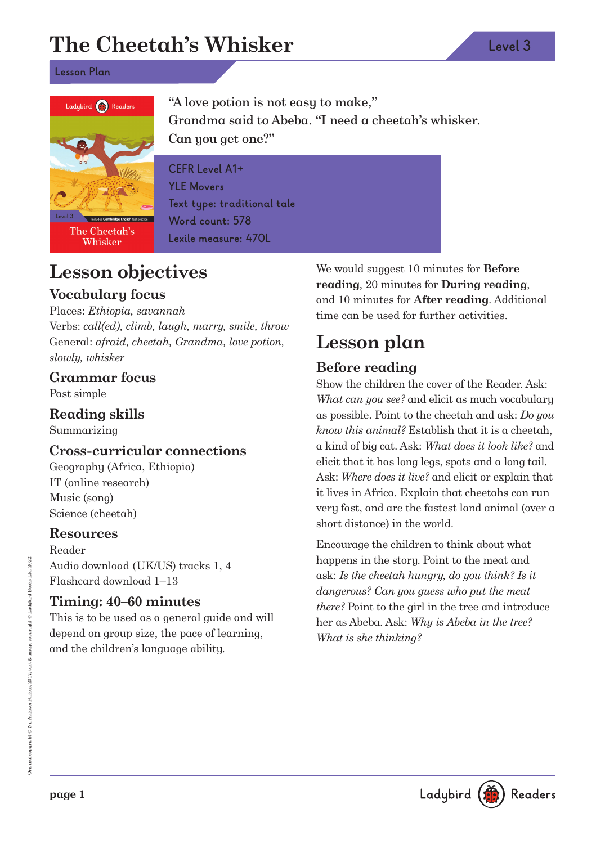# **The Cheetah's Whisker**

**Lesson Plan**



The Cheetah's Whisker

"A love potion is not easy to make," Grandma said to Abeba. "I need a cheetah's whisker. Can you get one?"

**CEFR Level A1+ YLE Movers Text type: traditional tale Word count: 578 Lexile measure: 470L**

# **Lesson objectives**

### **Vocabulary focus**

Places: Ethiopia, savannah Verbs: call(ed), climb, laugh, marry, smile, throw General: afraid, cheetah, Grandma, love potion, slowly, whisker

### **Grammar focus**

Past simple

### **Reading skills**

Summarizing

### **Cross-curricular connections**

Geography (Africa, Ethiopia) IT (online research) Music (song) Science (cheetah)

#### **Resources**

Reader Audio download (UK/US) tracks 1, 4 Flashcard download 1–13

### **Timing: 40–60 minutes**

This is to be used as a general guide and will depend on group size, the pace of learning, and the children's language ability.

We would suggest 10 minutes for **Before reading**, 20 minutes for **During reading**, and 10 minutes for **After reading**. Additional time can be used for further activities.

# **Lesson plan**

### **Before reading**

Show the children the cover of the Reader. Ask: What can you see? and elicit as much vocabulary as possible. Point to the cheetah and ask: Do you know this animal? Establish that it is a cheetah, a kind of big cat. Ask: What does it look like? and elicit that it has long legs, spots and a long tail. Ask: Where does it live? and elicit or explain that it lives in Africa. Explain that cheetahs can run very fast, and are the fastest land animal (over a short distance) in the world.

Encourage the children to think about what happens in the story. Point to the meat and ask: Is the cheetah hungry, do you think? Is it dangerous? Can you guess who put the meat there? Point to the girl in the tree and introduce her as Abeba. Ask: Why is Abeba in the tree? What is she thinking?

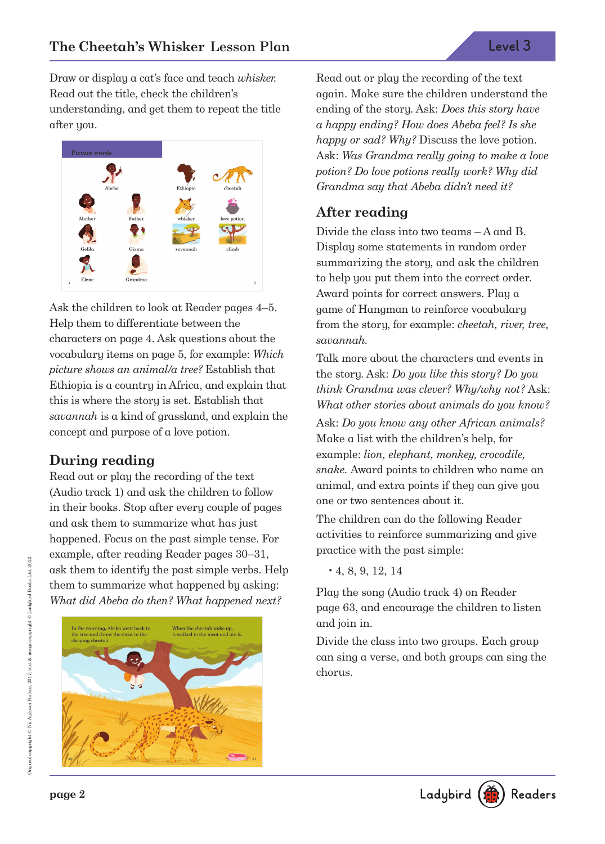Draw or display a cat's face and teach whisker. Read out the title, check the children's understanding, and get them to repeat the title after you.



Ask the children to look at Reader pages 4–5. Help them to differentiate between the characters on page 4. Ask questions about the vocabulary items on page 5, for example: Which picture shows an animal/a tree? Establish that Ethiopia is a country in Africa, and explain that this is where the story is set. Establish that savannah is a kind of grassland, and explain the concept and purpose of a love potion.

### **During reading**

Read out or play the recording of the text (Audio track 1) and ask the children to follow in their books. Stop after every couple of pages and ask them to summarize what has just happened. Focus on the past simple tense. For example, after reading Reader pages 30–31, ask them to identify the past simple verbs. Help them to summarize what happened by asking: What did Abeba do then? What happened next?



Read out or play the recording of the text again. Make sure the children understand the ending of the story. Ask: Does this story have a happy ending? How does Abeba feel? Is she happy or sad? Why? Discuss the love potion. Ask: Was Grandma really going to make a love potion? Do love potions really work? Why did Grandma say that Abeba didn't need it?

### **After reading**

Divide the class into two teams – A and B. Display some statements in random order summarizing the story, and ask the children to help you put them into the correct order. Award points for correct answers. Play a game of Hangman to reinforce vocabulary from the story, for example: cheetah, river, tree, savannah.

Talk more about the characters and events in the story. Ask: Do you like this story? Do you think Grandma was clever? Why/why not? Ask: What other stories about animals do you know?

Ask: Do you know any other African animals? Make a list with the children's help, for example: lion, elephant, monkey, crocodile, snake. Award points to children who name an animal, and extra points if they can give you one or two sentences about it.

The children can do the following Reader activities to reinforce summarizing and give practice with the past simple:

 $\cdot$  4, 8, 9, 12, 14

Play the song (Audio track 4) on Reader page 63, and encourage the children to listen and join in.

Divide the class into two groups. Each group can sing a verse, and both groups can sing the chorus.